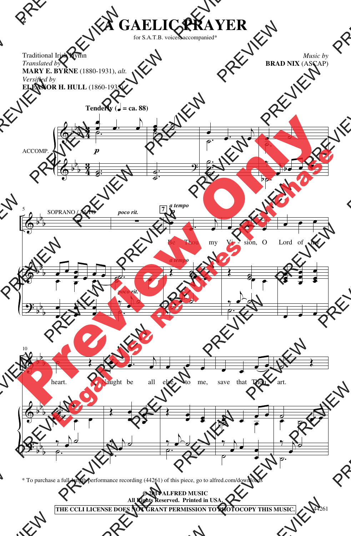## **A GAELIC PRAYER**

for S.A.T.B. voices, accompanied\*

*Music by* **BRAD NIX** (ASCAP)

Traditional Irish Hymn *Translated by* **MARY E. BYRNE** (1880-1931), *alt. Versified by* **ELEANOR H. HULL** (1860-1935)



\* To purchase a full-length performance recording (44261) of this piece, go to alfred.com/downloads

**© 2014 ALFRED MUSIC All Rights Reserved. Printed in USA. THE CCLI LICENSE DOES NOT GRANT PERMISSION TO PHOTOCOPY THIS MUSIC.**

**2**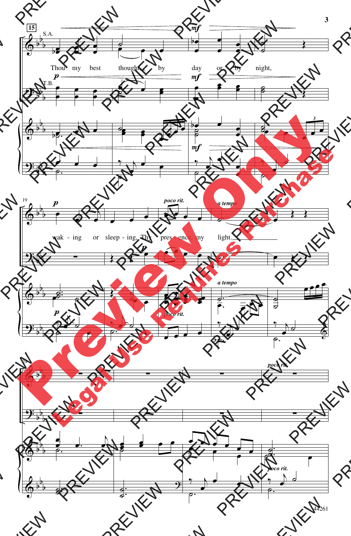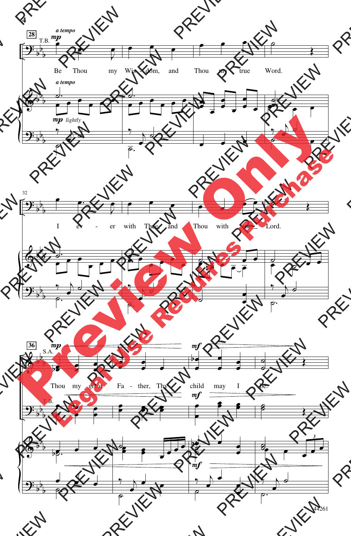

## **4**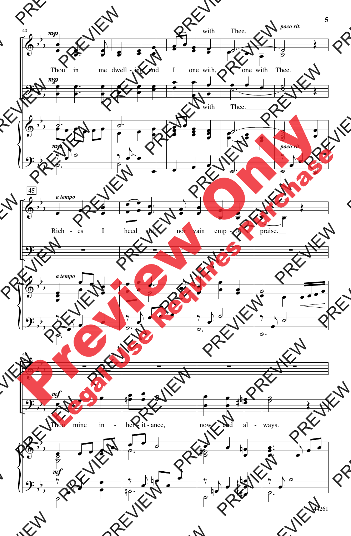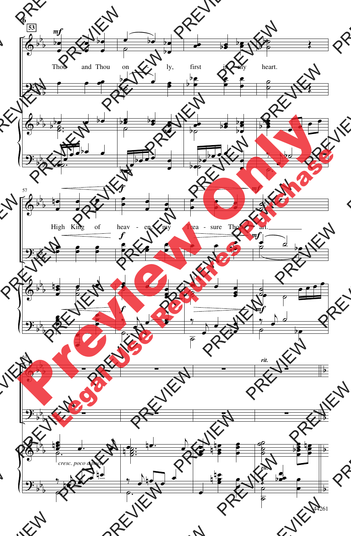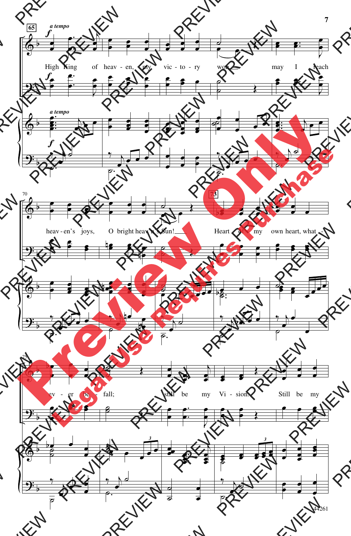